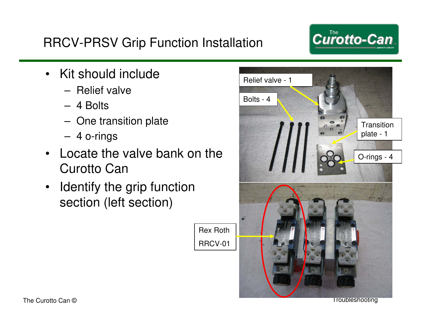#### RRCV-PRSV Grip Function Installation

- Kit should include
	- Relief valve
	- 4 Bolts
	- One transition plate
	- 4 o-rings
- Locate the valve bank on the Curotto Can

Rex Roth

RRCV-01

• Identify the grip function section (left section)



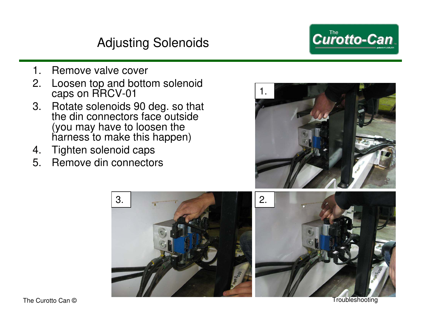# Adjusting Solenoids

Curotto-Can

- 1. Remove valve cover
- 2. Loosen top and bottom solenoid caps on RRCV-01
- 3. Rotate solenoids 90 deg. so that the din connectors face outside (you may have to loosen the harness to make this happen)
- 4. Tighten solenoid caps
- 5. Remove din connectors





The Curotto Can © Troubleshooting Transfer Curotto Can © Troubleshooting Transfer Curotto Can ©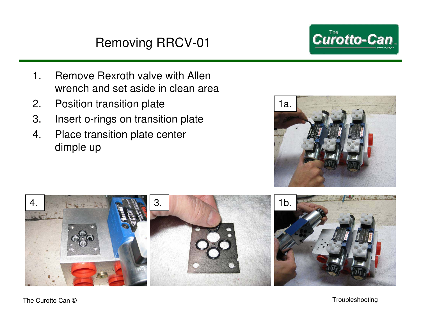# Removing RRCV-01

- 1. Remove Rexroth valve with Allen wrench and set aside in clean area
- 2. Position transition plate
- 3. Insert o-rings on transition plate
- 4. Place transition plate center dimple up





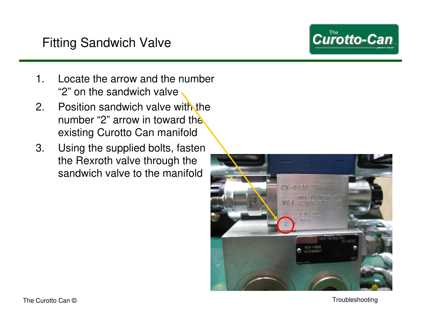## Fitting Sandwich Valve

**Curotto-Can** 

- 1. Locate the arrow and the number "2" on the sandwich valve
- 2. Position sandwich valve with the number "2" arrow in toward the existing Curotto Can manifold
- 3. Using the supplied bolts, fasten the Rexroth valve through the sandwich valve to the manifold